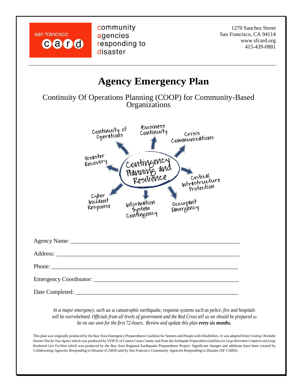san francisco card community agencies responding to disaster

1270 Sanchez Street San Francisco, CA 94114 www.sfcard.org 415-439-0881



*In a major emergency, such as a catastrophic earthquake, response systems such as police, fire and hospitals will be overwhelmed. Officials from all levels of government and the Red Cross tell us we should be prepared to be on our own for the first 72-hours. Review and update this plan every six months.*

This plan was originally produced by the Bay Area Emergency Preparedness Coalition for Seniors and People with Disabilities. It was adapted from *Creating A Workable Disaster Plan for Your Agency* which was produced by VOICE of Contra Costa County and from the *Earthquake Preparedness Guidelines (or Large Retirement Complexes and Large Residential Care Facilities* which was produced by the Bay Area Regional Earthquake Preparedness Project. Significant changes and additions have been created by Collaborating Agencies Responding to Disaster (CARD) and by San Francisco Community Agencies Responding to Disaster (SF CARD).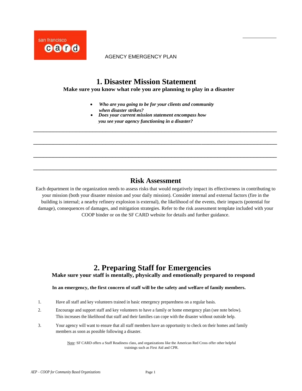

# **1. Disaster Mission Statement**

**Make sure you know what role you are planning to play in a disaster**

- *Who are you going to be for your clients and community when disaster strikes?*
- *Does your current mission statement encompass how you see your agency functioning in a disaster?*

*sheltering staff and others onsite, and what resource* 

\_\_\_\_\_\_\_\_\_\_\_\_\_\_\_\_\_\_\_\_\_\_\_\_\_\_\_\_\_\_\_\_\_\_\_\_\_\_\_\_\_\_\_\_\_\_\_\_\_\_\_\_\_\_\_\_\_\_\_\_\_\_\_\_\_\_\_\_\_\_\_\_\_\_

\_\_\_\_\_\_\_\_\_\_\_\_\_\_\_\_\_\_\_\_\_\_\_\_\_\_\_\_\_\_\_\_\_\_\_\_\_\_\_\_\_\_\_\_\_\_\_\_\_\_\_\_\_\_\_\_\_\_\_\_\_\_\_\_\_\_\_\_\_\_\_\_\_\_

\_\_\_\_\_\_\_\_\_\_\_\_\_\_\_\_\_\_\_\_\_\_\_\_\_\_\_\_\_\_\_\_\_\_\_\_\_\_\_\_\_\_\_\_\_\_\_\_\_\_\_\_\_\_\_\_\_\_\_\_\_\_\_\_\_\_\_\_\_\_\_\_\_\_

\_\_\_\_\_\_\_\_\_\_\_\_\_\_\_\_\_\_\_\_\_\_\_\_\_\_\_\_\_\_\_\_\_\_\_\_\_\_\_\_\_\_\_\_\_\_\_\_\_\_\_\_\_\_\_\_\_\_\_\_\_\_\_\_\_\_\_\_\_\_\_\_\_\_

• *Obtain leadership approval of the disaster mission* 

## **Risk Assessment**

Each department in the organization needs to assess risks that would negatively impact its effectiveness in contributing to your mission (both your disaster mission and your daily mission). Consider internal and external factors (fire in the building is internal; a nearby refinery explosion is external), the likelihood of the events, their impacts (potential for damage), consequences of damages, and mitigation strategies. Refer to the risk assessment template included with your COOP binder or on the SF CARD website for details and further guidance.

## **2. Preparing Staff for Emergencies Make sure your staff is mentally, physically and emotionally prepared to respond**

### **In an emergency, the first concern of staff will be the safety and welfare of family members.**

- 1. Have all staff and key volunteers trained in basic emergency preparedness on a regular basis.
- 2. Encourage and support staff and key volunteers to have a family or home emergency plan (see note below). This increases the likelihood that staff and their families can cope with the disaster without outside help.
- 3. Your agency will want to ensure that all staff members have an opportunity to check on their homes and family members as soon as possible following a disaster.

Note: SF CARD offers a Staff Readiness class, and organizations like the American Red Cross offer other helpful trainings such as First Aid and CPR.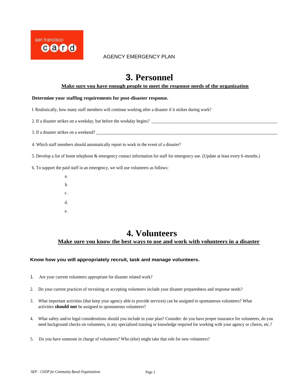

# **3. Personnel**

#### **Make sure you have enough people to meet the response needs of the organization**

#### **Determine your staffing requirements for post-disaster response.**

I. Realistically, how many staff members will continue working after a disaster if it strikes during work?

2. If a disaster strikes on a weekday, but before the workday begins?

3. If a disaster strikes on a weekend?

4. Which staff members should automatically report to work in the event of a disaster?

5. Develop a list of home telephone & emergency contact information for staff for emergency use. (Update at least every 6-months.)

6. To support the paid staff in an emergency, we will use volunteers as follows:

a. b. c. d. e.

# **4. [Volunteers](http://www.thevolunteercenter.net/npos_disaster.php)**

### **Make sure you know the best ways to use and work with volunteers in a disaster**

#### **Know how you will appropriately recruit, task and manage volunteers.**

- 1. Are your current volunteers appropriate for disaster related work?
- 2. Do your current practices of recruiting or accepting volunteers include your disaster preparedness and response needs?
- 3. What important activities (that keep your agency able to provide services) can be assigned to spontaneous volunteers? What activities **should not** be assigned to spontaneous volunteers?
- 4. What safety and/or legal considerations should you include in your plan? Consider: do you have proper insurance for volunteers, do you need background checks on volunteers, is any specialized training or knowledge required for working with your agency or clients, etc.?
- 5. Do you have someone in charge of volunteers? Who (else) might take that role for new volunteers?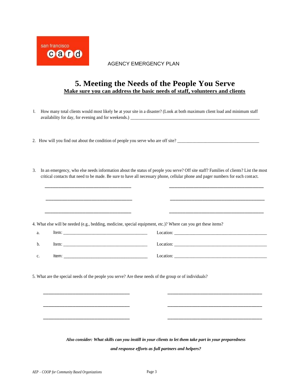

## **5. Meeting the Needs of the People You Serve Make sure you can address the basic needs of staff, volunteers and clients**

- I. How many total clients would most likely be at your site in a disaster? (Look at both maximum client load and minimum staff availability for day, for evening and for weekends.) \_\_\_\_\_\_\_\_\_\_\_\_\_\_\_\_\_\_\_\_\_\_\_\_\_\_\_\_\_\_\_\_\_\_\_\_\_\_\_\_\_\_\_\_\_\_\_\_\_\_\_\_\_\_\_\_\_\_\_\_
- 2. How will you find out about the condition of people you serve who are off site?
- 3. In an emergency, who else needs information about the status of people you serve? Off site staff? Families of clients? List the most critical contacts that need to be made. Be sure to have all necessary phone, cellular phone and pager numbers for each contact.

\_\_\_\_\_\_\_\_\_\_\_\_\_\_\_\_\_\_\_\_\_\_\_\_\_\_\_\_\_\_\_\_ \_\_\_\_\_\_\_\_\_\_\_\_\_\_\_\_\_\_\_\_\_\_\_\_\_\_\_\_\_\_\_\_\_\_\_

|                                                                                                        | 4. What else will be needed (e.g., bedding, medicine, special equipment, etc.)? Where can you get these items? |
|--------------------------------------------------------------------------------------------------------|----------------------------------------------------------------------------------------------------------------|
|                                                                                                        | Location:                                                                                                      |
|                                                                                                        |                                                                                                                |
| 5. What are the special needs of the people you serve? Are these needs of the group or of individuals? |                                                                                                                |
|                                                                                                        |                                                                                                                |
|                                                                                                        |                                                                                                                |
|                                                                                                        |                                                                                                                |

*Also consider: What skills can you instill in your clients to let them take part in your preparedness and response efforts as full partners and helpers?*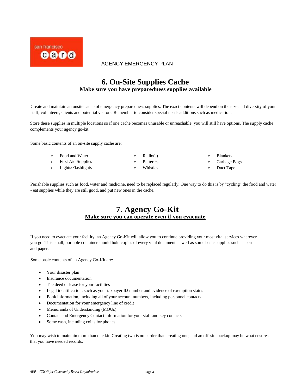

## **6. On-Site Supplies Cache Make sure you have preparedness supplies available**

Create and maintain an onsite cache of emergency preparedness supplies. The exact contents will depend on the size and diversity of your staff, volunteers, clients and potential visitors. Remember to consider special needs additions such as medication.

Store these supplies in multiple locations so if one cache becomes unusable or unreachable, you will still have options. The supply cache complements your agency go-kit.

Some basic contents of an on-site supply cache are:

| ○ Food and Water     | $\circ$ Radio(s)   | <b>Blankets</b>       |
|----------------------|--------------------|-----------------------|
| o First Aid Supplies | <b>O</b> Batteries | <b>O</b> Garbage Bags |
| 0 Lights/Flashlights | Whistles           | $\circ$ Duct Tape     |

Perishable supplies such as food, water and medicine, need to be replaced regularly. One way to do this is by "cycling" the food and water - eat supplies while they are still good, and put new ones in the cache.

## **7. Agency Go-Kit Make sure you can operate even if you evacuate**

If you need to evacuate your facility, an Agency Go-Kit will allow you to continue providing your most vital services wherever you go. This small, portable container should hold copies of every vital document as well as some basic supplies such as pen and paper.

Some basic contents of an Agency Go-Kit are:

- Your disaster plan
- Insurance documentation
- The deed or lease for your facilities
- Legal identification, such as your taxpayer ID number and evidence of exemption status
- Bank information, including all of your account numbers, including personnel contacts
- Documentation for your emergency line of credit
- Memoranda of Understanding (MOUs)
- Contact and Emergency Contact information for your staff and key contacts
- Some cash, including coins for phones

You may wish to maintain more than one kit. Creating two is no harder than creating one, and an off-site backup may be what ensures that you have needed records.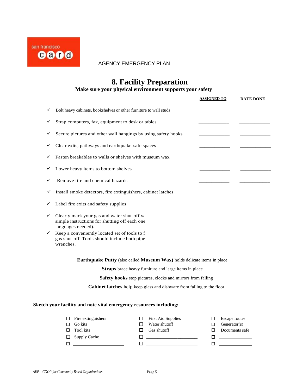

## **8. Facility Preparation Make sure your physical environment supports your safety**

|   |                                                                                                                    | <b>ASSIGNED TO</b> | <b>DATE DONE</b> |
|---|--------------------------------------------------------------------------------------------------------------------|--------------------|------------------|
|   | Bolt heavy cabinets, bookshelves or other furniture to wall studs                                                  |                    |                  |
|   | Strap computers, fax, equipment to desk or tables                                                                  |                    |                  |
|   | Secure pictures and other wall hangings by using safety hooks                                                      |                    |                  |
|   | Clear exits, pathways and earthquake-safe spaces                                                                   |                    |                  |
|   | Fasten breakables to walls or shelves with museum wax                                                              |                    |                  |
|   | Lower heavy items to bottom shelves                                                                                |                    |                  |
|   | Remove fire and chemical hazards                                                                                   |                    |                  |
|   | Install smoke detectors, fire extinguishers, cabinet latches                                                       |                    |                  |
|   | Label fire exits and safety supplies                                                                               |                    |                  |
| ✓ | Clearly mark your gas and water shut-off va<br>simple instructions for shutting off each one<br>languages needed). |                    |                  |
|   | Keep a conveniently located set of tools to f<br>gas shut-off. Tools should include both pipe<br>wrenches.         |                    |                  |

**Earthquake Putty** (also called **Museum Wax)** holds delicate items in place

**Straps** brace heavy furniture and large items in place

**Safety hooks** stop pictures, clocks and mirrors from falling

**Cabinet latches** help keep glass and dishware from falling to the floor

#### **Sketch your facility and note vital emergency resources including:**

|              | $\Box$ Fire extinguishers | <b>First Aid Supplies</b> | Escape routes  |
|--------------|---------------------------|---------------------------|----------------|
|              | Go kits                   | Water shutoff             | Generator(s)   |
|              | <b>Tool</b> kits          | Gas shutoff               | Documents safe |
| $\mathbf{1}$ | <b>Supply Cache</b>       |                           |                |
|              |                           |                           |                |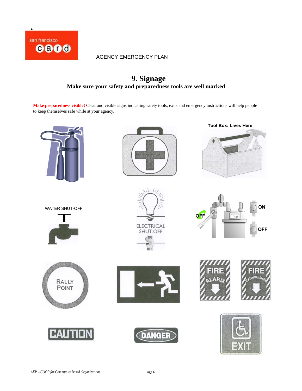

## **9. Signage Make sure your safety and preparedness tools are well marked**

**Make preparedness visible!** Clear and visible signs indicating safety tools, exits and emergency instructions will help people to keep themselves safe while at your agency.

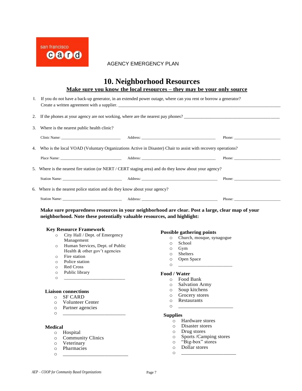

### **10. Neighborhood Resources Make sure you know the local resources – they may be your only source**

| <u>Niake sure vou know the local resources – they may be vour only source</u>                                     |
|-------------------------------------------------------------------------------------------------------------------|
|                                                                                                                   |
| I. If you do not have a back-up generator, in an extended power outage, where can you rent or borrow a generator? |
| Create a written agreement with a supplier.                                                                       |

2. If the phones at your agency are not working, where are the nearest pay phones? \_\_\_\_\_\_\_\_\_\_\_\_\_\_\_\_\_\_\_\_\_\_\_\_\_\_\_\_\_\_\_\_\_\_\_\_\_\_\_\_\_\_\_

| 3. | Where is the nearest public health clinic? |  |  |
|----|--------------------------------------------|--|--|
|    |                                            |  |  |

| 3. Where is the nearest public health clinic?                              |                                                                                                                 |                                                           |
|----------------------------------------------------------------------------|-----------------------------------------------------------------------------------------------------------------|-----------------------------------------------------------|
|                                                                            |                                                                                                                 |                                                           |
|                                                                            | 4. Who is the local VOAD (Voluntary Organizations Active in Disaster) Chair to assist with recovery operations? |                                                           |
|                                                                            |                                                                                                                 | Phone: $\frac{1}{\sqrt{1-\frac{1}{2}} \cdot \frac{1}{2}}$ |
|                                                                            | 5. Where is the nearest fire station (or NERT / CERT staging area) and do they know about your agency?          |                                                           |
|                                                                            |                                                                                                                 | Phone:                                                    |
| 6. Where is the nearest police station and do they know about your agency? |                                                                                                                 |                                                           |
|                                                                            |                                                                                                                 |                                                           |

**Make sure preparedness resources in your neighborhood are clear. Post a large, clear map of your neighborhood. Note these potentially valuable resources, and highlight:** 

#### **Key Resource Framework**

- o City Hall / Dept. of Emergency Management
- o Human Services, Dept. of Public Health & other gov't agencies
- o Fire station
- o Police station
- o Red Cross
- o Public library
- o <u>\_\_\_\_\_\_\_\_\_\_\_\_\_\_\_\_\_\_\_\_\_\_\_\_\_\_\_</u>

#### **Liaison connections**

- o SF CARD
- o Volunteer Center
- o Partner agencies

#### **Medical**

- o Hospital
- o Community Clinics
- o Veterinary
- o Pharmacies o <u>\_\_\_\_\_\_\_\_\_\_\_\_\_\_\_\_\_\_\_\_\_\_\_\_\_\_\_\_\_</u>

#### **Possible gathering points**

- o Church, mosque, synagogue
- o School
- o Gym
- o Shelters
- o Open Space
- o <u>\_\_\_\_\_\_\_\_\_\_\_\_\_\_\_\_\_\_\_\_\_\_\_</u>

#### **Food / Water**

- o Food Bank
- o Salvation Army
- o Soup kitchens
- o Grocery stores
- o Restaurants
- o <u>\_\_\_\_\_\_\_\_\_\_\_\_\_\_\_\_\_\_\_\_\_\_\_\_</u>

## <sup>o</sup> \_\_\_\_\_\_\_\_\_\_\_\_\_\_\_\_\_\_\_\_\_\_\_\_ **Supplies**

- o Hardware stores
- o Disaster stores
- o Drug stores
- o Sports /Camping stores
- o "Big-box" stores
- o Dollar stores o <u>\_\_\_\_\_\_\_\_\_\_\_\_\_\_\_\_\_\_\_\_\_\_\_\_</u>
-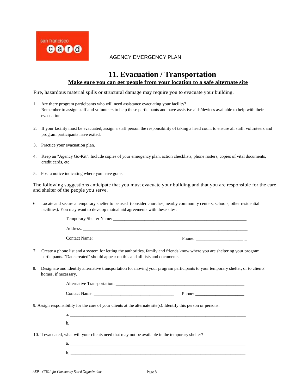

## **11. Evacuation / Transportation Make sure you can get people from your location to a safe alternate site**

Fire, hazardous material spills or structural damage may require you to evacuate your building.

- I. Are there program participants who will need assistance evacuating your facility? Remember to assign staff and volunteers to help these participants and have assistive aids/devices available to help with their evacuation.
- 2. If your facility must be evacuated, assign a staff person the responsibility of taking a head count to ensure all staff, volunteers and program participants have exited.
- 3. Practice your evacuation plan.
- 4. Keep an "Agency Go-Kit". Include copies of your emergency plan, action checklists, phone rosters, copies of vital documents, credit cards, etc.
- 5. Post a notice indicating where you have gone.

The following suggestions anticipate that you must evacuate your building and that you are responsible for the care and shelter of the people you serve.

6. Locate and secure a temporary shelter to be used (consider churches, nearby community centers, schools, other residential facilities). You may want to develop mutual aid agreements with these sites.

| Temporary Shelter Name: |
|-------------------------|
| Address:                |
|                         |

- Contact Name: \_\_\_\_\_\_\_\_\_\_\_\_\_\_\_\_\_\_\_\_\_\_\_\_\_\_\_\_\_\_\_\_\_\_\_\_ Phone: \_\_\_\_\_\_\_\_\_\_\_\_\_\_\_\_\_\_\_\_\_ \_
- 7. Create a phone list and a system for letting the authorities, family and friends know where you are sheltering your program participants. "Date created" should appear on this and all lists and documents.
- 8. Designate and identify alternative transportation for moving your program participants to your temporary shelter, or to clients' homes, if necessary.

| Alternative Transportation:                                                                                      |
|------------------------------------------------------------------------------------------------------------------|
| Phone:                                                                                                           |
| 9. Assign responsibility for the care of your clients at the alternate site(s). Identify this person or persons. |
|                                                                                                                  |

b. \_\_\_\_\_\_\_\_\_\_\_\_\_\_\_\_\_\_\_\_\_\_\_\_\_\_\_\_\_\_\_\_\_\_\_\_\_\_\_\_\_\_\_\_\_\_\_\_\_\_\_\_\_\_\_\_\_\_\_\_\_\_\_\_\_\_\_\_\_\_\_\_\_\_\_\_\_\_\_\_\_\_\_\_

- 10. If evacuated, what will your clients need that may not be available in the temporary shelter?
	- a. \_\_\_\_\_\_\_\_\_\_\_\_\_\_\_\_\_\_\_\_\_\_\_\_\_\_\_\_\_\_\_\_\_\_\_\_\_\_\_\_\_\_\_\_\_\_\_\_\_\_\_\_\_\_\_\_\_\_\_\_\_\_\_\_\_\_\_\_\_\_\_\_\_\_\_\_\_\_\_ b. \_\_\_\_\_\_\_\_\_\_\_\_\_\_\_\_\_\_\_\_\_\_\_\_\_\_\_\_\_\_\_\_\_\_\_\_\_\_\_\_\_\_\_\_\_\_\_\_\_\_\_\_\_\_\_\_\_\_\_\_\_\_\_\_\_\_\_\_\_\_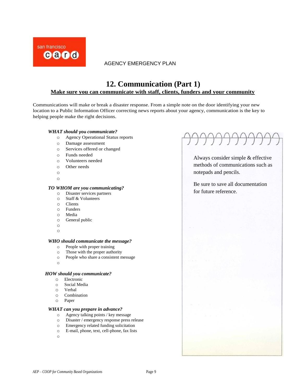

## **12. Communication (Part 1) Make sure you can communicate with staff, clients, funders and your community**

Communications will make or break a disaster response. From a simple note on the door identifying your new location to a Public Information Officer correcting news reports about your agency, communication is the key to helping people make the right decisions.

#### *WHAT should* **you** *communicate?*

- o Agency Operational Status reports
- o Damage assessment
- o Services offered or changed
- o Funds needed
- o Volunteers needed
- o Other needs
- o
- o

#### *TO WHOM are you communicating?*

- o Disaster services partners
- o Staff & Volunteers
- o Clients
- o Funders
- o Media
- o General public
- o
- o

#### *WHO should communicate the message?*

- o People with proper training
- o Those with the proper authority
- o People who share a consistent message
- o

#### *HOW should you communicate?*

- o Electronic
- o Social Media
- o Verbal
- o Combination
- o Paper

#### *WHAT can you prepare in advance?*

- o Agency talking points / key message<br>
o Disaster / emergency response press is
- Disaster / emergency response press release
- o Emergency related funding solicitation
- o E-mail, phone, text, cell-phone, fax lists
- o

Always consider simple & effective methods of communications such as notepads and pencils.

Be sure to save all documentation for future reference.

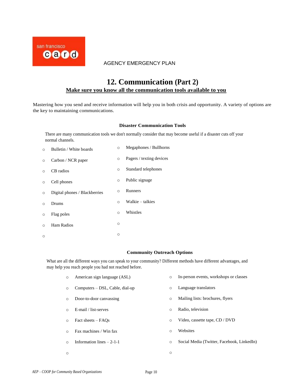

## **12. Communication (Part 2) Make sure you know all the communication tools available to you**

Mastering how you send and receive information will help you in both crisis and opportunity. A variety of options are the key to maintaining communications.

### **Disaster Communication Tools**

There are many communication tools we don't normally consider that may become useful if a disaster cuts off your normal channels.

| $\Omega$ | Bulletin / White boards       | $\circ$  | Megaphones / Bullhorns   |
|----------|-------------------------------|----------|--------------------------|
| $\circ$  | Carbon / NCR paper            | $\circ$  | Pagers / texting devices |
| $\Omega$ | CB radios                     | $\circ$  | Standard telephones      |
| $\circ$  | Cell phones                   | $\circ$  | Public signage           |
| $\circ$  | Digital phones / Blackberries | $\Omega$ | <b>Runners</b>           |
| $\Omega$ | Drums                         | $\Omega$ | Walkie – talkies         |
| $\circ$  | Flag poles                    | $\Omega$ | Whistles                 |
| $\Omega$ | Ham Radios                    | O        |                          |
| $\circ$  |                               | $\circ$  |                          |

#### **Community Outreach Options**

What are all the different ways you can speak to your community? Different methods have different advantages, and may help you reach people you had not reached before.

| $\circ$  | American sign language (ASL)    | $\circ$ | In-person events, workshops or classes     |
|----------|---------------------------------|---------|--------------------------------------------|
| $\circ$  | Computers – DSL, Cable, dial-up | $\circ$ | Language translators                       |
| $\circ$  | Door-to-door canvassing         | $\circ$ | Mailing lists: brochures, flyers           |
| $\Omega$ | E-mail / list-serves            | $\circ$ | Radio, television                          |
| $\circ$  | Fact sheets – FAOs              | $\circ$ | Video, cassette tape, CD / DVD             |
| $\circ$  | Fax machines / Win fax          | $\circ$ | Websites                                   |
| ∩        | Information lines $-2-1-1$      | $\circ$ | Social Media (Twitter, Facebook, LinkedIn) |
| $\circ$  |                                 | O       |                                            |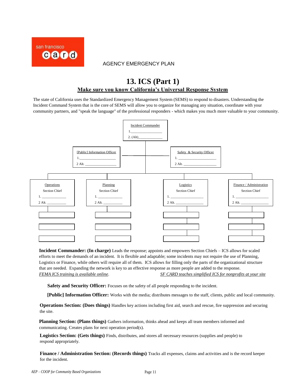

# **M. ICS** (Part I) **13. ICS (Part 1) Make sure you know California's Universal Response System**

The state of California uses the Standardized Emergency Management System (SEMS) to respond to disasters. Understanding the Incident Command System that is the core of SEMS will allow you to organize for managing any situation, coordinate with your community partners, and "speak the language" of the professional responders - which makes you much more valuable to your community.



**Incident Commander: (In charge)** Leads the response; appoints and empowers Section Chiefs – ICS allows for scaled efforts to meet the demands of an incident. It is flexible and adaptable; some incidents may not require the use of Planning, Logistics or Finance, while others will require all of them. ICS allows for filling only the parts of the organizational structure that are needed. Expanding the network is key to an effective response as more people are added to the response. *FEMA ICS training is available online*. *SF CARD teaches simplified ICS for nonprofits at your site*

Safety and Security Officer: Focuses on the safety of all people responding to the incident.

**[Public] Information Officer:** Works with the media; distributes messages to the staff, clients, public and local community.

**Operations Section: (Does things)** Handles key actions including first aid, search and rescue, fire suppression and securing the site.

**Planning Section: (Plans things)** Gathers information, thinks ahead and keeps all team members informed and communicating. Creates plans for next operation period(s).

**Logistics Section: (Gets things)** Finds, distributes, and stores all necessary resources (supplies and people) to respond appropriately.

**Finance / Administration Section: (Records things)** Tracks all expenses, claims and activities and is the record keeper for the incident.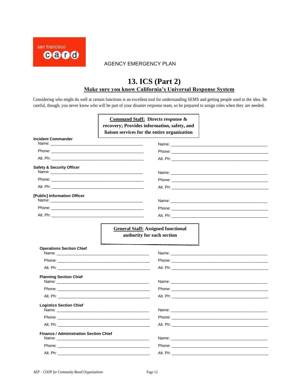

# **M. ICS** (Part 2) **13. ICS (Part 2) Make sure you know California's universal response system Make sure you know California's Universal Response System**

Considering who might do well at certain functions is an excellent tool for understanding SEMS and getting people used to the idea. Be careful, though; you never know who will be part of your disaster response team, so be prepared to assign roles when they are needed.

|                                                                                                                                                                                                                                                            |                                                                                                                                                                                                                               | <b>Command Staff: Directs response &amp;</b><br>recovery; Provides information, safety, and<br>liaison services for the entire organization                                                                                         |
|------------------------------------------------------------------------------------------------------------------------------------------------------------------------------------------------------------------------------------------------------------|-------------------------------------------------------------------------------------------------------------------------------------------------------------------------------------------------------------------------------|-------------------------------------------------------------------------------------------------------------------------------------------------------------------------------------------------------------------------------------|
| <b>Incident Commander</b><br>Name: and the state of the state of the state of the state of the state of the state of the state of the state of the state of the state of the state of the state of the state of the state of the state of the state of the |                                                                                                                                                                                                                               |                                                                                                                                                                                                                                     |
|                                                                                                                                                                                                                                                            |                                                                                                                                                                                                                               | <b>Phone:</b> Phone: The contract of the contract of the contract of the contract of the contract of the contract of the contract of the contract of the contract of the contract of the contract of the contract of the contract o |
|                                                                                                                                                                                                                                                            | Alt. Ph: will be a series of the series of the series of the series of the series of the series of the series of the series of the series of the series of the series of the series of the series of the series of the series |                                                                                                                                                                                                                                     |
| <b>Safety &amp; Security Officer</b>                                                                                                                                                                                                                       |                                                                                                                                                                                                                               |                                                                                                                                                                                                                                     |
|                                                                                                                                                                                                                                                            |                                                                                                                                                                                                                               |                                                                                                                                                                                                                                     |
|                                                                                                                                                                                                                                                            |                                                                                                                                                                                                                               | Alt. Ph: will be a series of the contract of the contract of the contract of the contract of the contract of the contract of the contract of the contract of the contract of the contract of the contract of the contract of t      |
| [Public] Information Officer                                                                                                                                                                                                                               |                                                                                                                                                                                                                               |                                                                                                                                                                                                                                     |
|                                                                                                                                                                                                                                                            |                                                                                                                                                                                                                               | Alt. Ph: will be a series of the contract of the contract of the contract of the contract of the contract of the contract of the contract of the contract of the contract of the contract of the contract of the contract of t      |
| <b>Operations Section Chief</b>                                                                                                                                                                                                                            |                                                                                                                                                                                                                               |                                                                                                                                                                                                                                     |
|                                                                                                                                                                                                                                                            |                                                                                                                                                                                                                               | Phone: <u>Alexander State Communication</u>                                                                                                                                                                                         |
|                                                                                                                                                                                                                                                            |                                                                                                                                                                                                                               |                                                                                                                                                                                                                                     |
| <b>Planning Section Chief</b>                                                                                                                                                                                                                              |                                                                                                                                                                                                                               |                                                                                                                                                                                                                                     |
|                                                                                                                                                                                                                                                            |                                                                                                                                                                                                                               |                                                                                                                                                                                                                                     |
|                                                                                                                                                                                                                                                            |                                                                                                                                                                                                                               | Alt. Ph: will be a series of the contract of the contract of the contract of the contract of the contract of the contract of the contract of the contract of the contract of the contract of the contract of the contract of t      |
| <b>Logistics Section Chief</b>                                                                                                                                                                                                                             |                                                                                                                                                                                                                               | Name: when the contract of the contract of the contract of the contract of the contract of the contract of the contract of the contract of the contract of the contract of the contract of the contract of the contract of the      |
|                                                                                                                                                                                                                                                            |                                                                                                                                                                                                                               |                                                                                                                                                                                                                                     |
|                                                                                                                                                                                                                                                            |                                                                                                                                                                                                                               | Alt. Ph: will be a series of the contract of the contract of the contract of the contract of the contract of the contract of the contract of the contract of the contract of the contract of the contract of the contract of t      |
| <b>Finance / Administration Section Chief</b>                                                                                                                                                                                                              |                                                                                                                                                                                                                               |                                                                                                                                                                                                                                     |
|                                                                                                                                                                                                                                                            |                                                                                                                                                                                                                               |                                                                                                                                                                                                                                     |
| Alt. Ph:                                                                                                                                                                                                                                                   |                                                                                                                                                                                                                               | Alt. Ph:                                                                                                                                                                                                                            |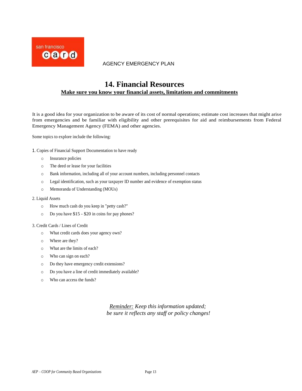

## **14. Financial Resources Make sure you know your financial assets, limitations and commitments**

It is a good idea for your organization to be aware of its cost of normal operations; estimate cost increases that might arise from emergencies and be familiar with eligibility and other prerequisites for aid and reimbursements from Federal Emergency Management Agency (FEMA) and other agencies.

Some topics to explore include the following:

- 1. Copies of Financial Support Documentation to have ready
	- o Insurance policies
	- o The deed or lease for your facilities
	- o Bank information, including all of your account numbers, including personnel contacts
	- o Legal identification, such as your taxpayer ID number and evidence of exemption status
	- o Memoranda of Understanding (MOUs)
- 2. Liquid Assets
	- o How much cash do you keep in "petty cash?"
	- o Do you have \$15 \$20 in coins for pay phones?

#### 3. Credit Cards / Lines of Credit

- o What credit cards does your agency own?
- o Where are they?
- o What are the limits of each?
- o Who can sign on each?
- o Do they have emergency credit extensions?
- o Do you have a line of credit immediately available?
- o Who can access the funds?

*Reminder: Keep this information updated; be sure it reflects any staff or policy changes!*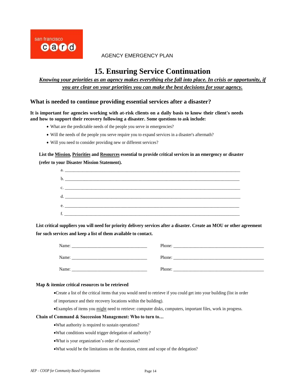

## **15. Ensuring Service Continuation**

## *Knowing your priorities as an agency makes everything else fall into place. In crisis or opportunity, if you are clear on your priorities you can make the best decisions for your agency.*

### **What is needed to continue providing essential services after a disaster?**

**It is important for agencies working with at-risk clients on a daily basis to know their client's needs and how to support their recovery following a disaster. Some questions to ask include:** 

- What are the predictable needs of the people you serve in emergencies?
- Will the needs of the people you serve require you to expand services in a disaster's aftermath?
- Will you need to consider providing new or different services?

## **List the Mission, Priorities and Resources essential to provide critical services in an emergency or disaster (refer to your Disaster Mission Statement).**

| $\mathbf{c}.$ $\blacksquare$ . The contract of the contract of the contract of the contract of the contract of the contract of the contract of the contract of the contract of the contract of the contract of the contract of the contrac |
|--------------------------------------------------------------------------------------------------------------------------------------------------------------------------------------------------------------------------------------------|
|                                                                                                                                                                                                                                            |
|                                                                                                                                                                                                                                            |
|                                                                                                                                                                                                                                            |
|                                                                                                                                                                                                                                            |

**List critical suppliers you will need for priority delivery services after a disaster. Create an MOU or other agreement for such services and keep a list of them available to contact.**

| Name: | Phone: |
|-------|--------|
| Name: | Phone: |
| Name: | Phone: |

#### **Map & itemize critical resources to be retrieved**

•Create a list of the critical items that you would need to retrieve if you could get into your building (list in order

of importance and their recovery locations within the building).

•Examples of items you might need to retrieve: computer disks, computers, important files, work in progress.

### **Chain of Command & Succession Management: Who to turn to…**

- •What authority is required to sustain operations?
- •What conditions would trigger delegation of authority?
- •What is your organization's order of succession?
- •What would be the limitations on the duration, extent and scope of the delegation?